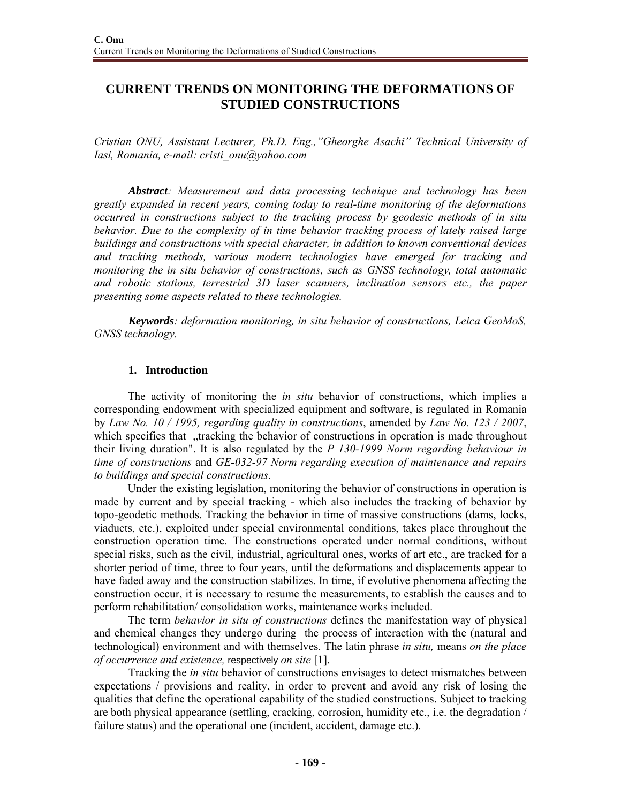# **CURRENT TRENDS ON MONITORING THE DEFORMATIONS OF STUDIED CONSTRUCTIONS**

*Cristian ONU, Assistant Lecturer, Ph.D. Eng.,"Gheorghe Asachi" Technical University of Iasi, Romania, e-mail: cristi\_onu@yahoo.com* 

*Abstract: Measurement and data processing technique and technology has been greatly expanded in recent years, coming today to real-time monitoring of the deformations occurred in constructions subject to the tracking process by geodesic methods of in situ behavior. Due to the complexity of in time behavior tracking process of lately raised large buildings and constructions with special character, in addition to known conventional devices and tracking methods, various modern technologies have emerged for tracking and monitoring the in situ behavior of constructions, such as GNSS technology, total automatic and robotic stations, terrestrial 3D laser scanners, inclination sensors etc., the paper presenting some aspects related to these technologies.* 

*Keywords: deformation monitoring, in situ behavior of constructions, Leica GeoMoS, GNSS technology.* 

### **1. Introduction**

The activity of monitoring the *in situ* behavior of constructions, which implies a corresponding endowment with specialized equipment and software, is regulated in Romania by *Law No. 10 / 1995, regarding quality in constructions*, amended by *Law No. 123 / 2007*, which specifies that "tracking the behavior of constructions in operation is made throughout their living duration". It is also regulated by the *P 130-1999 Norm regarding behaviour in time of constructions* and *GE-032-97 Norm regarding execution of maintenance and repairs to buildings and special constructions*.

Under the existing legislation, monitoring the behavior of constructions in operation is made by current and by special tracking - which also includes the tracking of behavior by topo-geodetic methods. Tracking the behavior in time of massive constructions (dams, locks, viaducts, etc.), exploited under special environmental conditions, takes place throughout the construction operation time. The constructions operated under normal conditions, without special risks, such as the civil, industrial, agricultural ones, works of art etc., are tracked for a shorter period of time, three to four years, until the deformations and displacements appear to have faded away and the construction stabilizes. In time, if evolutive phenomena affecting the construction occur, it is necessary to resume the measurements, to establish the causes and to perform rehabilitation/ consolidation works, maintenance works included.

The term *behavior in situ of constructions* defines the manifestation way of physical and chemical changes they undergo during the process of interaction with the (natural and technological) environment and with themselves. The latin phrase *in situ,* means *on the place of occurrence and existence,* respectively *on site* [1].

Tracking the *in situ* behavior of constructions envisages to detect mismatches between expectations / provisions and reality, in order to prevent and avoid any risk of losing the qualities that define the operational capability of the studied constructions. Subject to tracking are both physical appearance (settling, cracking, corrosion, humidity etc., i.e. the degradation / failure status) and the operational one (incident, accident, damage etc.).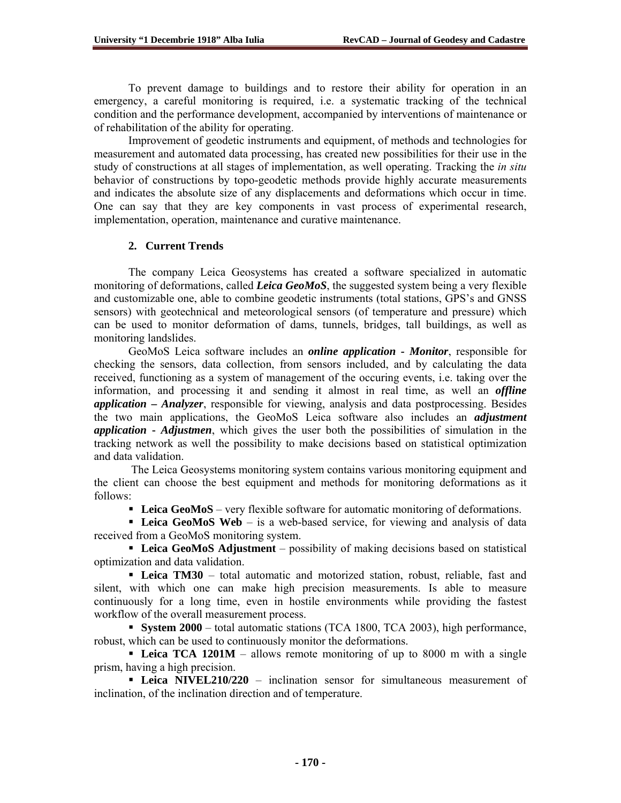To prevent damage to buildings and to restore their ability for operation in an emergency, a careful monitoring is required, i.e. a systematic tracking of the technical condition and the performance development, accompanied by interventions of maintenance or of rehabilitation of the ability for operating.

Improvement of geodetic instruments and equipment, of methods and technologies for measurement and automated data processing, has created new possibilities for their use in the study of constructions at all stages of implementation, as well operating. Tracking the *in situ*  behavior of constructions by topo-geodetic methods provide highly accurate measurements and indicates the absolute size of any displacements and deformations which occur in time. One can say that they are key components in vast process of experimental research, implementation, operation, maintenance and curative maintenance.

# **2. Current Trends**

The company Leica Geosystems has created a software specialized in automatic monitoring of deformations, called *Leica GeoMoS*, the suggested system being a very flexible and customizable one, able to combine geodetic instruments (total stations, GPS's and GNSS sensors) with geotechnical and meteorological sensors (of temperature and pressure) which can be used to monitor deformation of dams, tunnels, bridges, tall buildings, as well as monitoring landslides.

GeoMoS Leica software includes an *online application - Monitor*, responsible for checking the sensors, data collection, from sensors included, and by calculating the data received, functioning as a system of management of the occuring events, i.e. taking over the information, and processing it and sending it almost in real time, as well an *offline application* **–** *Analyzer*, responsible for viewing, analysis and data postprocessing. Besides the two main applications, the GeoMoS Leica software also includes an *adjustment application* **-** *Adjustmen*, which gives the user both the possibilities of simulation in the tracking network as well the possibility to make decisions based on statistical optimization and data validation.

 The Leica Geosystems monitoring system contains various monitoring equipment and the client can choose the best equipment and methods for monitoring deformations as it follows:

**Leica GeoMoS** – very flexible software for automatic monitoring of deformations.

**Leica GeoMoS Web** – is a web-based service, for viewing and analysis of data received from a GeoMoS monitoring system.

 **Leica GeoMoS Adjustment** – possibility of making decisions based on statistical optimization and data validation.

 **Leica TM30** – total automatic and motorized station, robust, reliable, fast and silent, with which one can make high precision measurements. Is able to measure continuously for a long time, even in hostile environments while providing the fastest workflow of the overall measurement process.

 **System 2000** – total automatic stations (TCA 1800, TCA 2003), high performance, robust, which can be used to continuously monitor the deformations.

**Leica TCA 1201M** – allows remote monitoring of up to 8000 m with a single prism, having a high precision.

**Leica NIVEL210/220** – inclination sensor for simultaneous measurement of inclination, of the inclination direction and of temperature.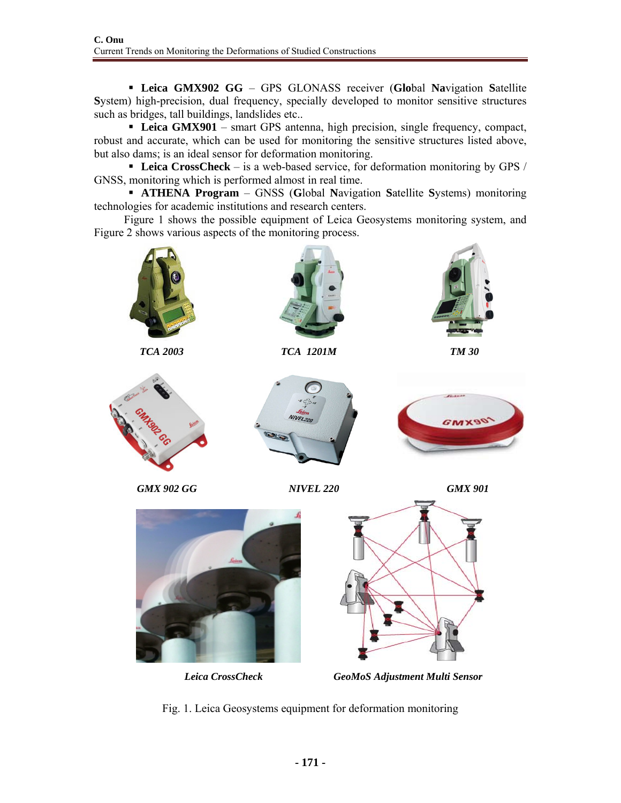**Leica GMX902 GG** – GPS GLONASS receiver (**Glo**bal **Na**vigation **S**atellite **S**ystem) high-precision, dual frequency, specially developed to monitor sensitive structures such as bridges, tall buildings, landslides etc..

 **Leica GMX901** – smart GPS antenna, high precision, single frequency, compact, robust and accurate, which can be used for monitoring the sensitive structures listed above, but also dams; is an ideal sensor for deformation monitoring.

 **Leica CrossCheck** – is a web-based service, for deformation monitoring by GPS / GNSS, monitoring which is performed almost in real time.

**ATHENA Program** – GNSS (Global Navigation Satellite Systems) monitoring technologies for academic institutions and research centers.

 Figure 1 shows the possible equipment of Leica Geosystems monitoring system, and Figure 2 shows various aspects of the monitoring process.



Fig. 1. Leica Geosystems equipment for deformation monitoring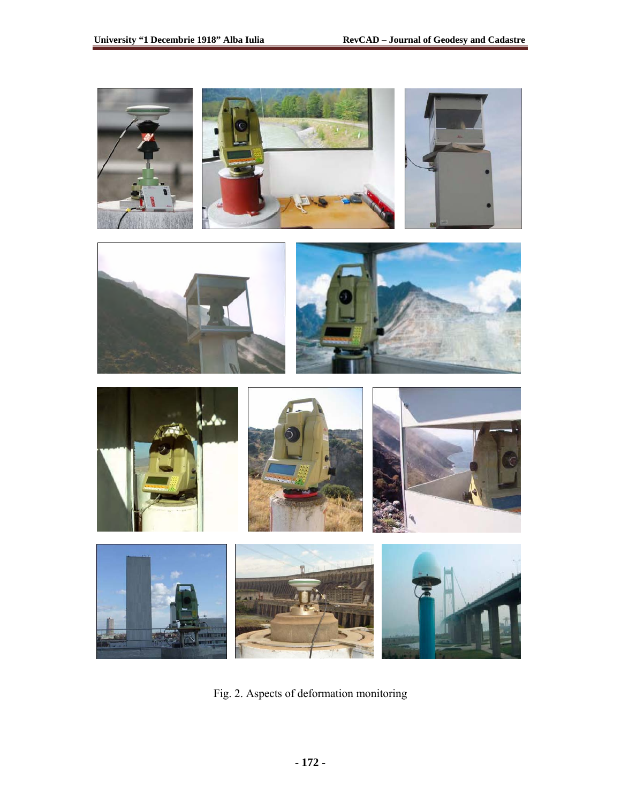

Fig. 2. Aspects of deformation monitoring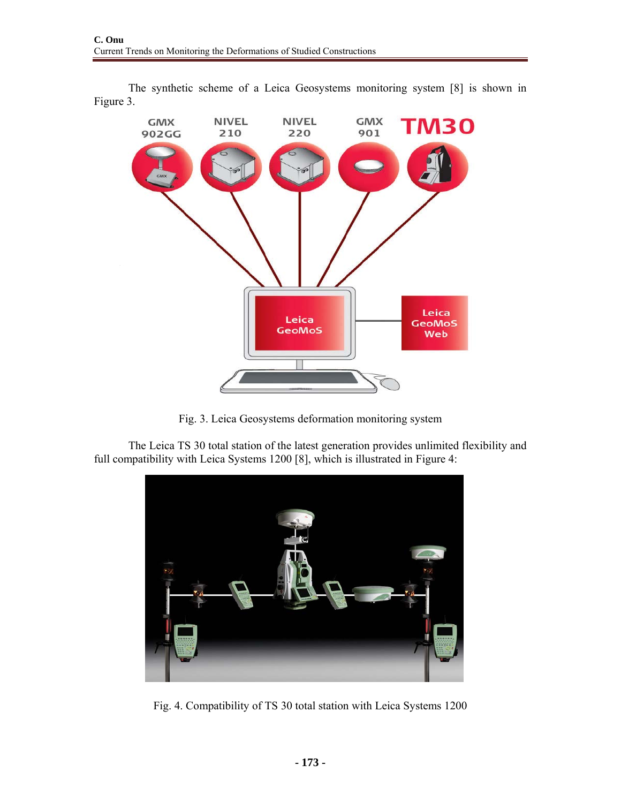

The synthetic scheme of a Leica Geosystems monitoring system [8] is shown in Figure 3.

Fig. 3. Leica Geosystems deformation monitoring system

The Leica TS 30 total station of the latest generation provides unlimited flexibility and full compatibility with Leica Systems 1200 [8], which is illustrated in Figure 4:



Fig. 4. Compatibility of TS 30 total station with Leica Systems 1200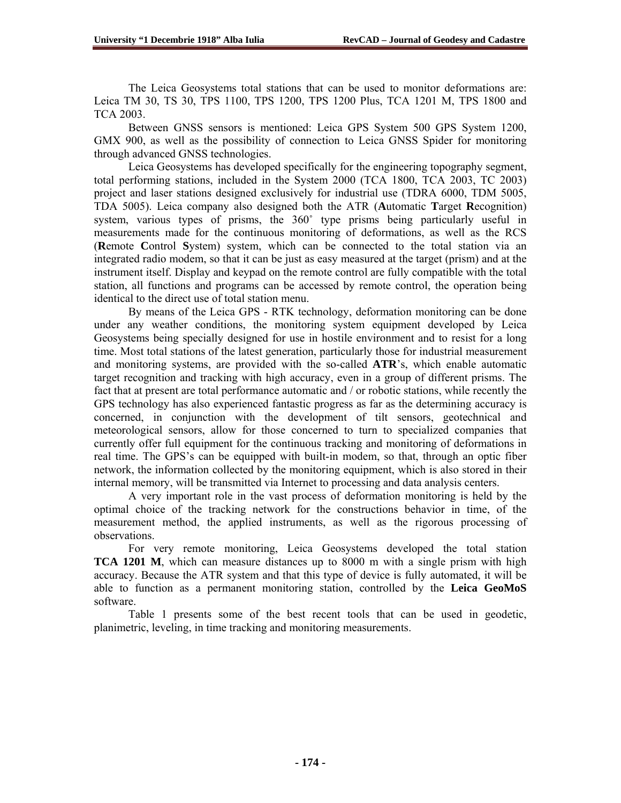The Leica Geosystems total stations that can be used to monitor deformations are: Leica TM 30, TS 30, TPS 1100, TPS 1200, TPS 1200 Plus, TCA 1201 M, TPS 1800 and TCA 2003.

Between GNSS sensors is mentioned: Leica GPS System 500 GPS System 1200, GMX 900, as well as the possibility of connection to Leica GNSS Spider for monitoring through advanced GNSS technologies.

Leica Geosystems has developed specifically for the engineering topography segment, total performing stations, included in the System 2000 (TCA 1800, TCA 2003, TC 2003) project and laser stations designed exclusively for industrial use (TDRA 6000, TDM 5005, TDA 5005). Leica company also designed both the ATR (**A**utomatic **T**arget **R**ecognition) system, various types of prisms, the 360° type prisms being particularly useful in measurements made for the continuous monitoring of deformations, as well as the RCS (**R**emote **C**ontrol **S**ystem) system, which can be connected to the total station via an integrated radio modem, so that it can be just as easy measured at the target (prism) and at the instrument itself. Display and keypad on the remote control are fully compatible with the total station, all functions and programs can be accessed by remote control, the operation being identical to the direct use of total station menu.

By means of the Leica GPS - RTK technology, deformation monitoring can be done under any weather conditions, the monitoring system equipment developed by Leica Geosystems being specially designed for use in hostile environment and to resist for a long time. Most total stations of the latest generation, particularly those for industrial measurement and monitoring systems, are provided with the so-called **ATR**'s, which enable automatic target recognition and tracking with high accuracy, even in a group of different prisms. The fact that at present are total performance automatic and / or robotic stations, while recently the GPS technology has also experienced fantastic progress as far as the determining accuracy is concerned, in conjunction with the development of tilt sensors, geotechnical and meteorological sensors, allow for those concerned to turn to specialized companies that currently offer full equipment for the continuous tracking and monitoring of deformations in real time. The GPS's can be equipped with built-in modem, so that, through an optic fiber network, the information collected by the monitoring equipment, which is also stored in their internal memory, will be transmitted via Internet to processing and data analysis centers.

A very important role in the vast process of deformation monitoring is held by the optimal choice of the tracking network for the constructions behavior in time, of the measurement method, the applied instruments, as well as the rigorous processing of observations.

For very remote monitoring, Leica Geosystems developed the total station **TCA 1201 M**, which can measure distances up to 8000 m with a single prism with high accuracy. Because the ATR system and that this type of device is fully automated, it will be able to function as a permanent monitoring station, controlled by the **Leica GeoMoS** software.

Table 1 presents some of the best recent tools that can be used in geodetic, planimetric, leveling, in time tracking and monitoring measurements.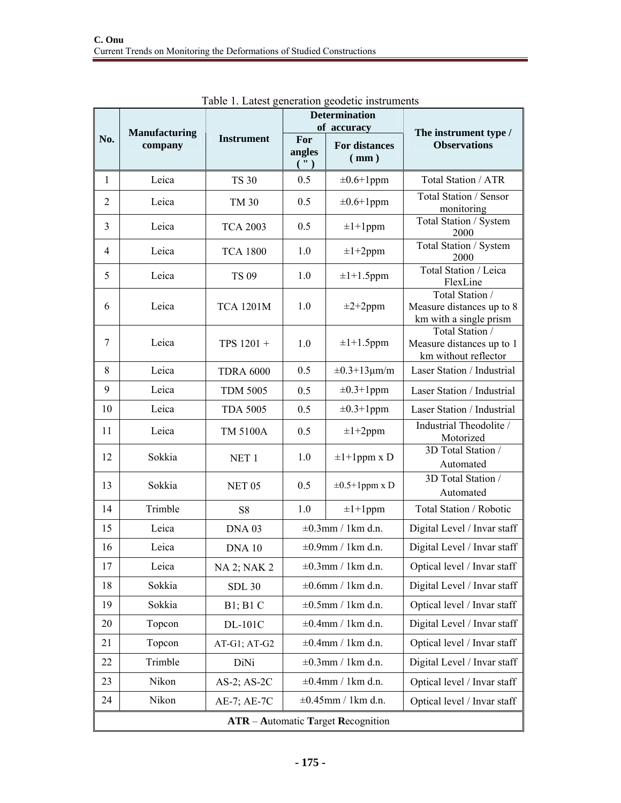|                                           | <b>Manufacturing</b><br>company | <b>Instrument</b>  |                              | <b>Determination</b><br>of accuracy  | The instrument type /<br><b>Observations</b>                           |  |  |  |  |
|-------------------------------------------|---------------------------------|--------------------|------------------------------|--------------------------------------|------------------------------------------------------------------------|--|--|--|--|
| No.                                       |                                 |                    | For<br>angles<br>$($ ")      | <b>For distances</b><br>$\text{m}$ ) |                                                                        |  |  |  |  |
| 1                                         | Leica                           | <b>TS 30</b>       | 0.5                          | $\pm 0.6 + 1$ ppm                    | Total Station / ATR                                                    |  |  |  |  |
| $\overline{2}$                            | Leica                           | TM 30              | 0.5                          | $\pm 0.6 + 1$ ppm                    | Total Station / Sensor<br>monitoring                                   |  |  |  |  |
| 3                                         | Leica                           | <b>TCA 2003</b>    | 0.5                          | $\pm 1 + 1$ ppm                      | Total Station / System<br>2000                                         |  |  |  |  |
| $\overline{4}$                            | Leica                           | <b>TCA 1800</b>    | 1.0                          | $\pm 1 + 2$ ppm                      | Total Station / System<br>2000                                         |  |  |  |  |
| 5                                         | Leica                           | <b>TS 09</b>       | 1.0                          | $\pm 1 + 1.5$ ppm                    | Total Station / Leica<br>FlexLine                                      |  |  |  |  |
| 6                                         | Leica                           | <b>TCA 1201M</b>   | 1.0                          | $\pm 2 + 2$ ppm                      | Total Station /<br>Measure distances up to 8<br>km with a single prism |  |  |  |  |
| 7                                         | Leica                           | TPS 1201 +         | 1.0                          | $\pm 1 + 1.5$ ppm                    | Total Station /<br>Measure distances up to 1<br>km without reflector   |  |  |  |  |
| 8                                         | Leica                           | <b>TDRA 6000</b>   | 0.5                          | $\pm 0.3 + 13 \mu m/m$               | Laser Station / Industrial                                             |  |  |  |  |
| 9                                         | Leica                           | <b>TDM 5005</b>    | 0.5                          | $\pm 0.3 + 1$ ppm                    | Laser Station / Industrial                                             |  |  |  |  |
| 10                                        | Leica                           | <b>TDA 5005</b>    | 0.5                          | $\pm 0.3 + 1$ ppm                    | Laser Station / Industrial                                             |  |  |  |  |
| 11                                        | Leica                           | TM 5100A           | 0.5                          | $\pm 1 + 2$ ppm                      | Industrial Theodolite /<br>Motorized                                   |  |  |  |  |
| 12                                        | Sokkia                          | NET <sub>1</sub>   | 1.0<br>$\pm 1 + 1$ ppm x D   |                                      | 3D Total Station /<br>Automated                                        |  |  |  |  |
| 13                                        | Sokkia                          | NET <sub>05</sub>  | 0.5<br>$\pm 0.5 + 1$ ppm x D |                                      | 3D Total Station /<br>Automated                                        |  |  |  |  |
| 14                                        | Trimble                         | S8                 | 1.0                          | $\pm 1 + 1$ ppm                      | Total Station / Robotic                                                |  |  |  |  |
| 15                                        | Leica                           | DNA <sub>03</sub>  | $\pm 0.3$ mm / 1km d.n.      |                                      | Digital Level / Invar staff                                            |  |  |  |  |
| 16                                        | Leica                           | <b>DNA 10</b>      | $\pm 0.9$ mm / 1km d.n.      |                                      | Digital Level / Invar staff                                            |  |  |  |  |
| 17                                        | Leica                           | <b>NA 2; NAK 2</b> | $\pm 0.3$ mm / 1km d.n.      |                                      | Optical level / Invar staff                                            |  |  |  |  |
| 18                                        | Sokkia                          | <b>SDL 30</b>      | $\pm 0.6$ mm / 1km d.n.      |                                      | Digital Level / Invar staff                                            |  |  |  |  |
| 19                                        | Sokkia                          | B1; B1 C           | $\pm 0.5$ mm / 1km d.n.      |                                      | Optical level / Invar staff                                            |  |  |  |  |
| 20                                        | Topcon                          | DL-101C            | $\pm 0.4$ mm / 1km d.n.      |                                      | Digital Level / Invar staff                                            |  |  |  |  |
| 21                                        | Topcon                          | AT-G1; AT-G2       | $\pm 0.4$ mm / 1km d.n.      |                                      | Optical level / Invar staff                                            |  |  |  |  |
| 22                                        | Trimble                         | DiNi               | $\pm 0.3$ mm / 1km d.n.      |                                      | Digital Level / Invar staff                                            |  |  |  |  |
| 23                                        | Nikon                           | AS-2; AS-2C        | $\pm 0.4$ mm / 1km d.n.      |                                      | Optical level / Invar staff                                            |  |  |  |  |
| 24                                        | Nikon                           | AE-7; AE-7C        |                              | $\pm 0.45$ mm / 1km d.n.             | Optical level / Invar staff                                            |  |  |  |  |
| <b>ATR</b> – Automatic Target Recognition |                                 |                    |                              |                                      |                                                                        |  |  |  |  |

Table 1. Latest generation geodetic instruments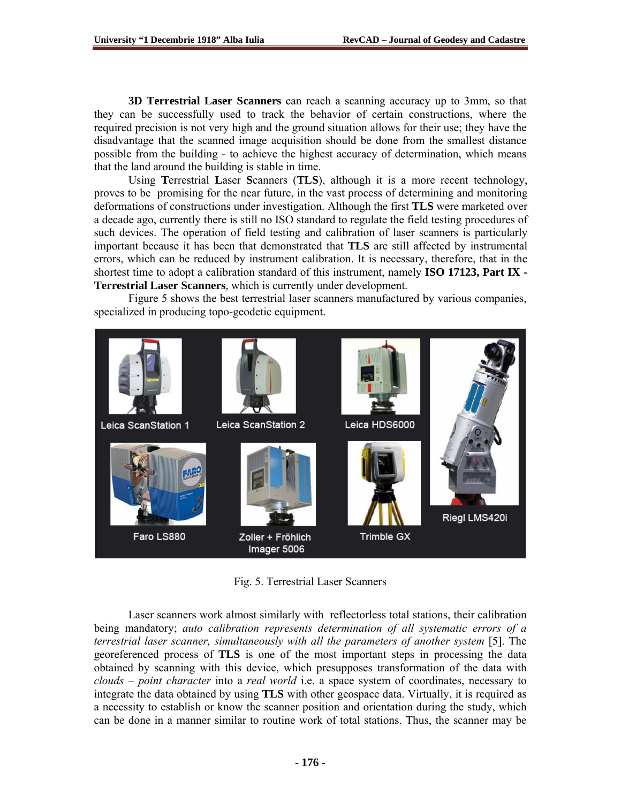**3D Terrestrial Laser Scanners** can reach a scanning accuracy up to 3mm, so that they can be successfully used to track the behavior of certain constructions, where the required precision is not very high and the ground situation allows for their use; they have the disadvantage that the scanned image acquisition should be done from the smallest distance possible from the building - to achieve the highest accuracy of determination, which means that the land around the building is stable in time.

Using **T**errestrial **L**aser **S**canners (**TLS**), although it is a more recent technology, proves to be promising for the near future, in the vast process of determining and monitoring deformations of constructions under investigation. Although the first **TLS** were marketed over a decade ago, currently there is still no ISO standard to regulate the field testing procedures of such devices. The operation of field testing and calibration of laser scanners is particularly important because it has been that demonstrated that **TLS** are still affected by instrumental errors, which can be reduced by instrument calibration. It is necessary, therefore, that in the shortest time to adopt a calibration standard of this instrument, namely **ISO 17123, Part IX - Terrestrial Laser Scanners**, which is currently under development.

Figure 5 shows the best terrestrial laser scanners manufactured by various companies, specialized in producing topo-geodetic equipment.



Fig. 5. Terrestrial Laser Scanners

Laser scanners work almost similarly with reflectorless total stations, their calibration being mandatory; *auto calibration represents determination of all systematic errors of a terrestrial laser scanner, simultaneously with all the parameters of another system* [5]. The georeferenced process of **TLS** is one of the most important steps in processing the data obtained by scanning with this device, which presupposes transformation of the data with *clouds – point character* into a *real world* i.e. a space system of coordinates, necessary to integrate the data obtained by using **TLS** with other geospace data. Virtually, it is required as a necessity to establish or know the scanner position and orientation during the study, which can be done in a manner similar to routine work of total stations. Thus, the scanner may be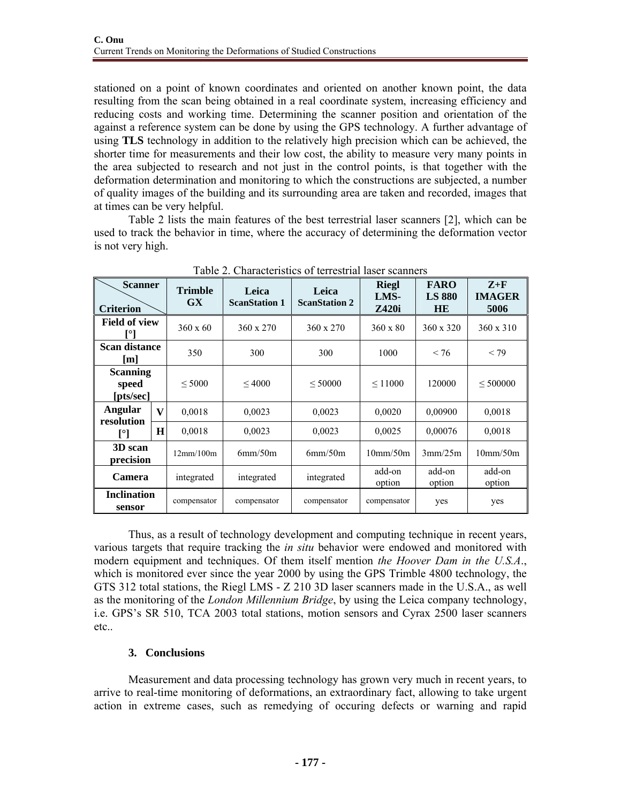stationed on a point of known coordinates and oriented on another known point, the data resulting from the scan being obtained in a real coordinate system, increasing efficiency and reducing costs and working time. Determining the scanner position and orientation of the against a reference system can be done by using the GPS technology. A further advantage of using **TLS** technology in addition to the relatively high precision which can be achieved, the shorter time for measurements and their low cost, the ability to measure very many points in the area subjected to research and not just in the control points, is that together with the deformation determination and monitoring to which the constructions are subjected, a number of quality images of the building and its surrounding area are taken and recorded, images that at times can be very helpful.

Table 2 lists the main features of the best terrestrial laser scanners [2], which can be used to track the behavior in time, where the accuracy of determining the deformation vector is not very high.

| <b>Scanner</b><br><b>Criterion</b>    |              | <b>Trimble</b><br>GX | Leica<br><b>ScanStation 1</b> | Leica<br><b>ScanStation 2</b> | <b>Riegl</b><br>LMS-<br><b>Z420i</b> | <b>FARO</b><br><b>LS 880</b><br><b>HE</b> | $Z+F$<br><b>IMAGER</b><br>5006 |
|---------------------------------------|--------------|----------------------|-------------------------------|-------------------------------|--------------------------------------|-------------------------------------------|--------------------------------|
| <b>Field of view</b>                  |              | $360 \times 60$      | 360 x 270                     | 360 x 270                     | $360 \times 80$                      | 360 x 320                                 | 360 x 310                      |
| <b>Scan distance</b><br>[m]           |              | 350                  | 300                           | 300                           | 1000                                 | < 76                                      | < 79                           |
| <b>Scanning</b><br>speed<br>[pts/sec] |              | < 5000               | ${}_{\leq 4000}$              | < 50000                       | $\leq 11000$                         | 120000                                    | < 500000                       |
| Angular<br>resolution                 | $\mathbf{V}$ | 0,0018               | 0,0023                        | 0,0023                        | 0,0020                               | 0,00900                                   | 0,0018                         |
| [°]                                   | H            | 0,0018               | 0,0023                        | 0,0023                        | 0.0025                               | 0,00076                                   | 0,0018                         |
| 3D scan<br>precision                  |              | 12mm/100m            | 6mm/50m                       | 6mm/50m                       | $10$ mm/50m                          | 3mm/25m                                   | 10mm/50m                       |
| Camera                                |              | integrated           | integrated                    | integrated                    | add-on<br>option                     | add-on<br>option                          | add-on<br>option               |
| <b>Inclination</b><br>sensor          |              | compensator          | compensator                   | compensator                   | compensator                          | yes                                       | yes                            |

Table 2. Characteristics of terrestrial laser scanners

Thus, as a result of technology development and computing technique in recent years, various targets that require tracking the *in situ* behavior were endowed and monitored with modern equipment and techniques. Of them itself mention *the Hoover Dam in the U.S.A*., which is monitored ever since the year 2000 by using the GPS Trimble 4800 technology, the GTS 312 total stations, the Riegl LMS - Z 210 3D laser scanners made in the U.S.A., as well as the monitoring of the *London Millennium Bridge*, by using the Leica company technology, i.e. GPS's SR 510, TCA 2003 total stations, motion sensors and Cyrax 2500 laser scanners etc..

# **3. Conclusions**

Measurement and data processing technology has grown very much in recent years, to arrive to real-time monitoring of deformations, an extraordinary fact, allowing to take urgent action in extreme cases, such as remedying of occuring defects or warning and rapid